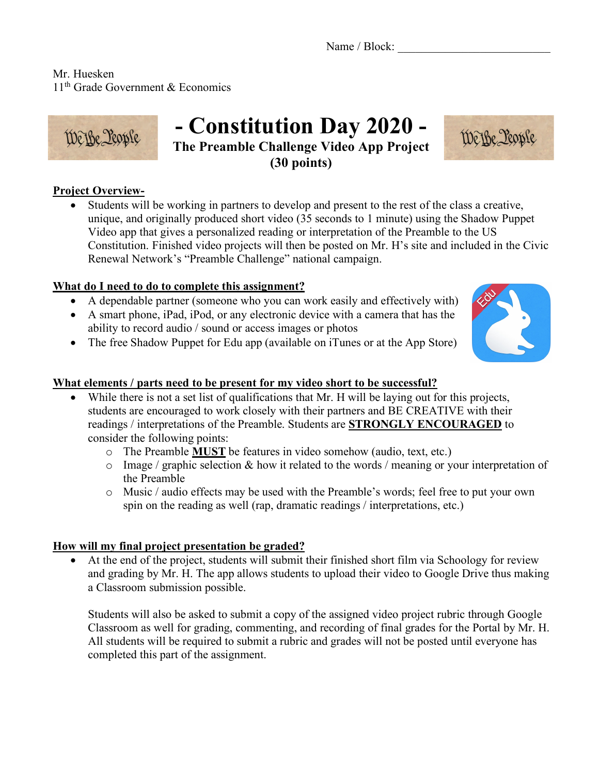Name / Block:

Mr. Huesken 11<sup>th</sup> Grade Government & Economics



# **- Constitution Day 2020 -**

**The Preamble Challenge Video App Project (30 points)**



• Students will be working in partners to develop and present to the rest of the class a creative, unique, and originally produced short video (35 seconds to 1 minute) using the Shadow Puppet Video app that gives a personalized reading or interpretation of the Preamble to the US Constitution. Finished video projects will then be posted on Mr. H's site and included in the Civic Renewal Network's "Preamble Challenge" national campaign.

### **What do I need to do to complete this assignment?**

- A dependable partner (someone who you can work easily and effectively with)
- A smart phone, iPad, iPod, or any electronic device with a camera that has the ability to record audio / sound or access images or photos
- The free Shadow Puppet for Edu app (available on iTunes or at the App Store)

#### **What elements / parts need to be present for my video short to be successful?**

- While there is not a set list of qualifications that Mr. H will be laying out for this projects, students are encouraged to work closely with their partners and BE CREATIVE with their readings / interpretations of the Preamble. Students are **STRONGLY ENCOURAGED** to consider the following points:
	- o The Preamble **MUST** be features in video somehow (audio, text, etc.)
	- $\circ$  Image / graphic selection & how it related to the words / meaning or your interpretation of the Preamble
	- o Music / audio effects may be used with the Preamble's words; feel free to put your own spin on the reading as well (rap, dramatic readings / interpretations, etc.)

#### **How will my final project presentation be graded?**

• At the end of the project, students will submit their finished short film via Schoology for review and grading by Mr. H. The app allows students to upload their video to Google Drive thus making a Classroom submission possible.

Students will also be asked to submit a copy of the assigned video project rubric through Google Classroom as well for grading, commenting, and recording of final grades for the Portal by Mr. H. All students will be required to submit a rubric and grades will not be posted until everyone has completed this part of the assignment.



We Be Leople